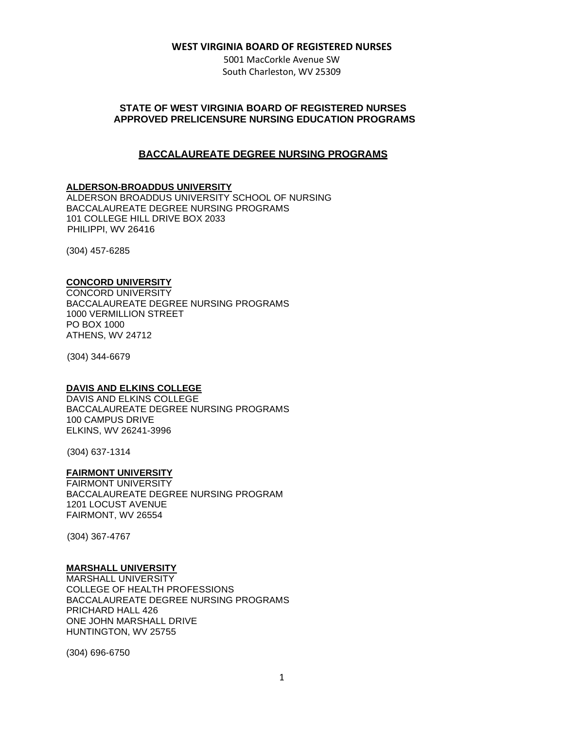5001 MacCorkle Avenue SW South Charleston, WV 25309

# **STATE OF WEST VIRGINIA BOARD OF REGISTERED NURSES APPROVED PRELICENSURE NURSING EDUCATION PROGRAMS**

# **BACCALAUREATE DEGREE NURSING PROGRAMS**

### **ALDERSON-BROADDUS UNIVERSITY**

ALDERSON BROADDUS UNIVERSITY SCHOOL OF NURSING BACCALAUREATE DEGREE NURSING PROGRAMS 101 COLLEGE HILL DRIVE BOX 2033 PHILIPPI, WV 26416

(304) 457-6285

### **CONCORD UNIVERSITY**

CONCORD UNIVERSITY BACCALAUREATE DEGREE NURSING PROGRAMS 1000 VERMILLION STREET PO BOX 1000 ATHENS, WV 24712

(304) 344-6679

#### **DAVIS AND ELKINS COLLEGE**

DAVIS AND ELKINS COLLEGE BACCALAUREATE DEGREE NURSING PROGRAMS 100 CAMPUS DRIVE ELKINS, WV 26241-3996

(304) 637-1314

### **FAIRMONT UNIVERSITY**

FAIRMONT UNIVERSITY BACCALAUREATE DEGREE NURSING PROGRAM 1201 LOCUST AVENUE FAIRMONT, WV 26554

(304) 367-4767

### **MARSHALL UNIVERSITY**

MARSHALL UNIVERSITY COLLEGE OF HEALTH PROFESSIONS BACCALAUREATE DEGREE NURSING PROGRAMS PRICHARD HALL 426 ONE JOHN MARSHALL DRIVE HUNTINGTON, WV 25755

(304) 696-6750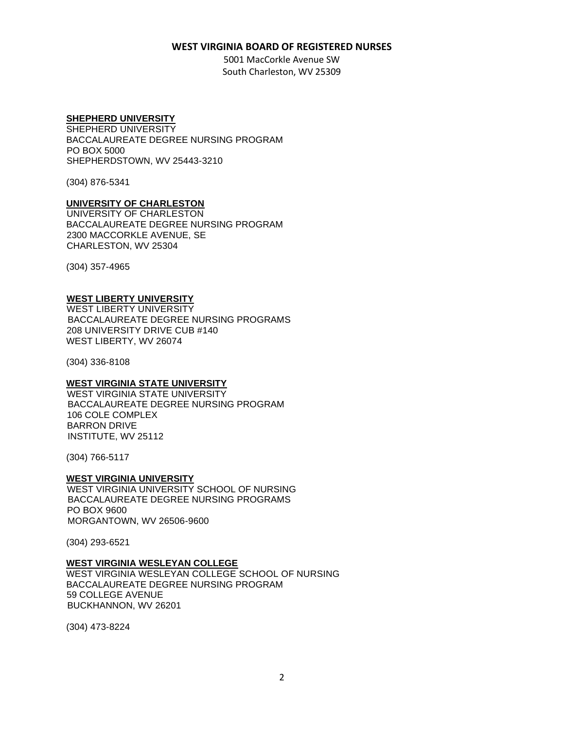5001 MacCorkle Avenue SW South Charleston, WV 25309

### **SHEPHERD UNIVERSITY**

SHEPHERD UNIVERSITY BACCALAUREATE DEGREE NURSING PROGRAM PO BOX 5000 SHEPHERDSTOWN, WV 25443-3210

(304) 876-5341

### **UNIVERSITY OF CHARLESTON**

UNIVERSITY OF CHARLESTON BACCALAUREATE DEGREE NURSING PROGRAM 2300 MACCORKLE AVENUE, SE CHARLESTON, WV 25304

(304) 357-4965

# **WEST LIBERTY UNIVERSITY**

WEST LIBERTY UNIVERSITY BACCALAUREATE DEGREE NURSING PROGRAMS 208 UNIVERSITY DRIVE CUB #140 WEST LIBERTY, WV 26074

(304) 336-8108

#### **WEST VIRGINIA STATE UNIVERSITY**

WEST VIRGINIA STATE UNIVERSITY BACCALAUREATE DEGREE NURSING PROGRAM 106 COLE COMPLEX BARRON DRIVE INSTITUTE, WV 25112

(304) 766-5117

#### **WEST VIRGINIA UNIVERSITY**

WEST VIRGINIA UNIVERSITY SCHOOL OF NURSING BACCALAUREATE DEGREE NURSING PROGRAMS PO BOX 9600 MORGANTOWN, WV 26506-9600

(304) 293-6521

# **WEST VIRGINIA WESLEYAN COLLEGE**

WEST VIRGINIA WESLEYAN COLLEGE SCHOOL OF NURSING BACCALAUREATE DEGREE NURSING PROGRAM 59 COLLEGE AVENUE BUCKHANNON, WV 26201

(304) 473-8224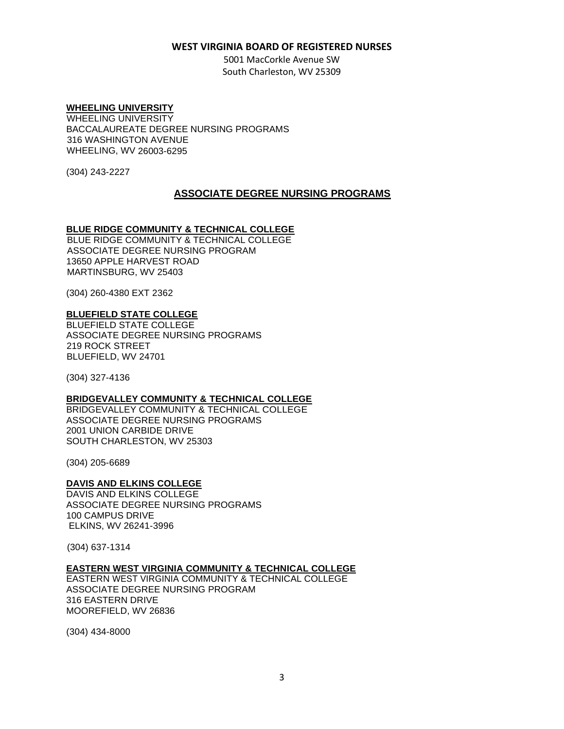5001 MacCorkle Avenue SW South Charleston, WV 25309

#### **WHEELING UNIVERSITY**

WHEELING UNIVERSITY BACCALAUREATE DEGREE NURSING PROGRAMS 316 WASHINGTON AVENUE WHEELING, WV 26003-6295

(304) 243-2227

### **ASSOCIATE DEGREE NURSING PROGRAMS**

### **BLUE RIDGE COMMUNITY & TECHNICAL COLLEGE**

BLUE RIDGE COMMUNITY & TECHNICAL COLLEGE ASSOCIATE DEGREE NURSING PROGRAM 13650 APPLE HARVEST ROAD MARTINSBURG, WV 25403

(304) 260-4380 EXT 2362

#### **BLUEFIELD STATE COLLEGE**

BLUEFIELD STATE COLLEGE ASSOCIATE DEGREE NURSING PROGRAMS 219 ROCK STREET BLUEFIELD, WV 24701

(304) 327-4136

#### **BRIDGEVALLEY COMMUNITY & TECHNICAL COLLEGE**

BRIDGEVALLEY COMMUNITY & TECHNICAL COLLEGE ASSOCIATE DEGREE NURSING PROGRAMS 2001 UNION CARBIDE DRIVE SOUTH CHARLESTON, WV 25303

(304) 205-6689

#### **DAVIS AND ELKINS COLLEGE**

DAVIS AND ELKINS COLLEGE ASSOCIATE DEGREE NURSING PROGRAMS 100 CAMPUS DRIVE ELKINS, WV 26241-3996

(304) 637-1314

#### **EASTERN WEST VIRGINIA COMMUNITY & TECHNICAL COLLEGE**

EASTERN WEST VIRGINIA COMMUNITY & TECHNICAL COLLEGE ASSOCIATE DEGREE NURSING PROGRAM 316 EASTERN DRIVE MOOREFIELD, WV 26836

(304) 434-8000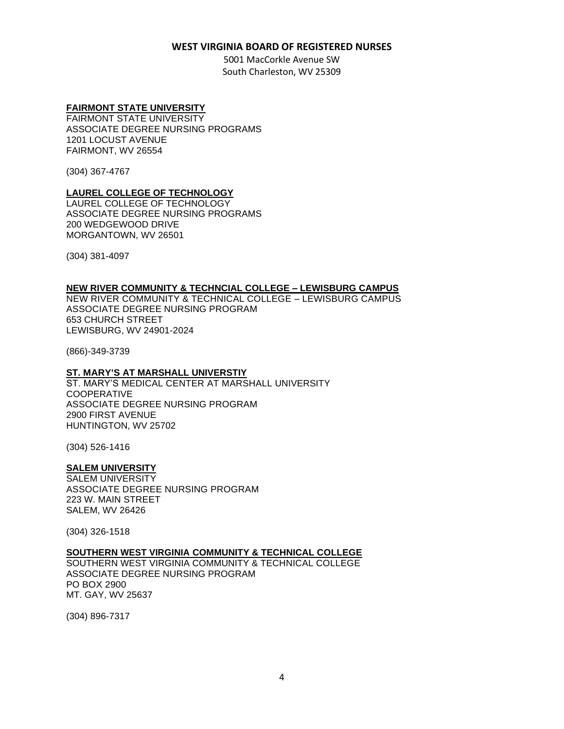5001 MacCorkle Avenue SW South Charleston, WV 25309

### **FAIRMONT STATE UNIVERSITY**

FAIRMONT STATE UNIVERSITY ASSOCIATE DEGREE NURSING PROGRAMS 1201 LOCUST AVENUE FAIRMONT, WV 26554

(304) 367-4767

### **LAUREL COLLEGE OF TECHNOLOGY**

LAUREL COLLEGE OF TECHNOLOGY ASSOCIATE DEGREE NURSING PROGRAMS 200 WEDGEWOOD DRIVE MORGANTOWN, WV 26501

(304) 381-4097

### **NEW RIVER COMMUNITY & TECHNCIAL COLLEGE – LEWISBURG CAMPUS**

NEW RIVER COMMUNITY & TECHNICAL COLLEGE – LEWISBURG CAMPUS ASSOCIATE DEGREE NURSING PROGRAM 653 CHURCH STREET LEWISBURG, WV 24901-2024

(866)-349-3739

### **ST. MARY'S AT MARSHALL UNIVERSTIY**

ST. MARY'S MEDICAL CENTER AT MARSHALL UNIVERSITY COOPERATIVE ASSOCIATE DEGREE NURSING PROGRAM 2900 FIRST AVENUE HUNTINGTON, WV 25702

(304) 526-1416

### **SALEM UNIVERSITY**

SALEM UNIVERSITY ASSOCIATE DEGREE NURSING PROGRAM 223 W. MAIN STREET SALEM, WV 26426

(304) 326-1518

# **SOUTHERN WEST VIRGINIA COMMUNITY & TECHNICAL COLLEGE**

SOUTHERN WEST VIRGINIA COMMUNITY & TECHNICAL COLLEGE ASSOCIATE DEGREE NURSING PROGRAM PO BOX 2900 MT. GAY, WV 25637

(304) 896-7317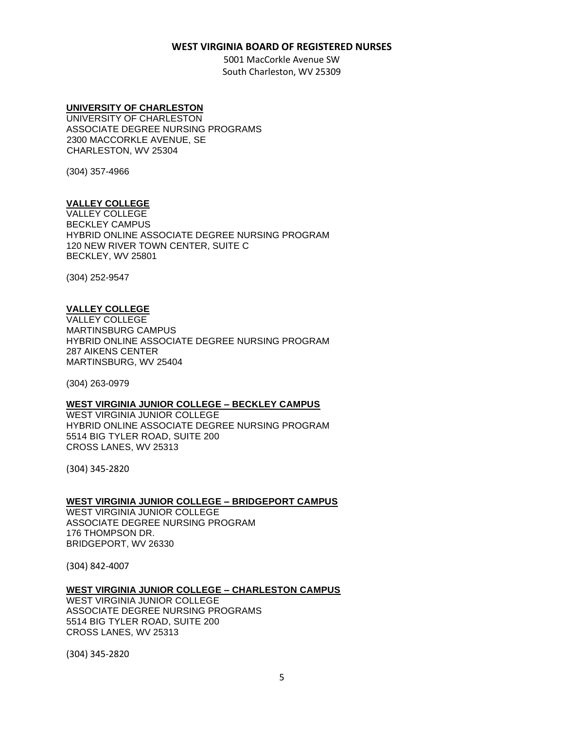5001 MacCorkle Avenue SW South Charleston, WV 25309

#### **UNIVERSITY OF CHARLESTON**

UNIVERSITY OF CHARLESTON ASSOCIATE DEGREE NURSING PROGRAMS 2300 MACCORKLE AVENUE, SE CHARLESTON, WV 25304

(304) 357-4966

### **VALLEY COLLEGE**

VALLEY COLLEGE BECKLEY CAMPUS HYBRID ONLINE ASSOCIATE DEGREE NURSING PROGRAM 120 NEW RIVER TOWN CENTER, SUITE C BECKLEY, WV 25801

(304) 252-9547

### **VALLEY COLLEGE**

VALLEY COLLEGE MARTINSBURG CAMPUS HYBRID ONLINE ASSOCIATE DEGREE NURSING PROGRAM 287 AIKENS CENTER MARTINSBURG, WV 25404

(304) 263-0979

### **WEST VIRGINIA JUNIOR COLLEGE – BECKLEY CAMPUS**

WEST VIRGINIA JUNIOR COLLEGE HYBRID ONLINE ASSOCIATE DEGREE NURSING PROGRAM 5514 BIG TYLER ROAD, SUITE 200 CROSS LANES, WV 25313

(304) 345-2820

#### **WEST VIRGINIA JUNIOR COLLEGE – BRIDGEPORT CAMPUS**

WEST VIRGINIA JUNIOR COLLEGE ASSOCIATE DEGREE NURSING PROGRAM 176 THOMPSON DR. BRIDGEPORT, WV 26330

(304) 842-4007

#### **WEST VIRGINIA JUNIOR COLLEGE – CHARLESTON CAMPUS**

WEST VIRGINIA JUNIOR COLLEGE ASSOCIATE DEGREE NURSING PROGRAMS 5514 BIG TYLER ROAD, SUITE 200 CROSS LANES, WV 25313

(304) 345-2820